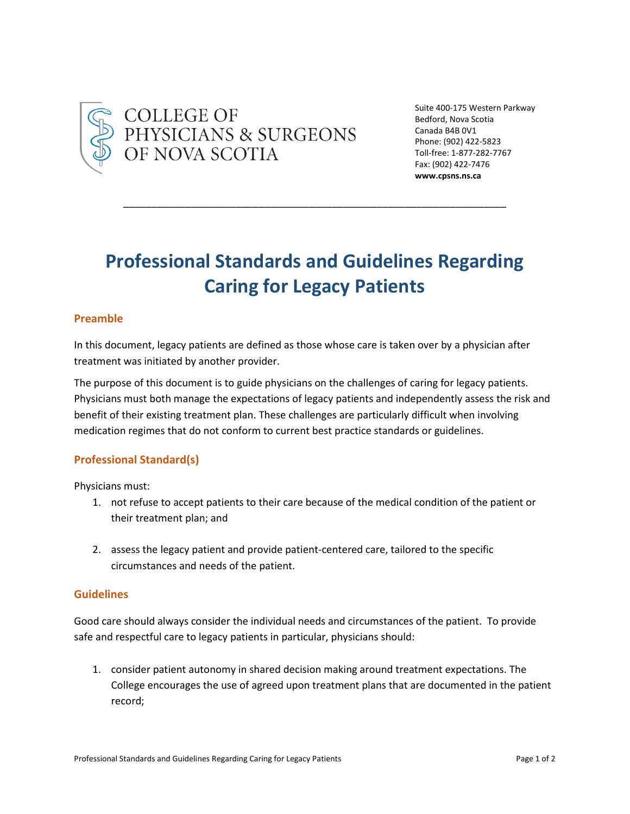

COLLEGE OF<br>PHYSICIANS & SURGEONS<br>OF NOVA SCOTIA

Suite 400-175 Western Parkway Bedford, Nova Scotia Canada B4B 0V1 Phone: (902) 422-5823 Toll-free: 1-877-282-7767 Fax: (902) 422-7476 **www.cpsns.ns.ca**

# **Professional Standards and Guidelines Regarding Caring for Legacy Patients**

\_\_\_\_\_\_\_\_\_\_\_\_\_\_\_\_\_\_\_\_\_\_\_\_\_\_\_\_\_\_\_\_\_\_\_\_\_\_\_\_\_\_\_\_\_\_\_\_\_\_\_\_\_\_\_\_\_\_\_\_\_\_\_\_\_\_\_\_

# **Preamble**

In this document, legacy patients are defined as those whose care is taken over by a physician after treatment was initiated by another provider.

The purpose of this document is to guide physicians on the challenges of caring for legacy patients. Physicians must both manage the expectations of legacy patients and independently assess the risk and benefit of their existing treatment plan. These challenges are particularly difficult when involving medication regimes that do not conform to current best practice standards or guidelines.

# **Professional Standard(s)**

Physicians must:

- 1. not refuse to accept patients to their care because of the medical condition of the patient or their treatment plan; and
- 2. assess the legacy patient and provide patient-centered care, tailored to the specific circumstances and needs of the patient.

### **Guidelines**

Good care should always consider the individual needs and circumstances of the patient. To provide safe and respectful care to legacy patients in particular, physicians should:

1. consider patient autonomy in shared decision making around treatment expectations. The College encourages the use of agreed upon treatment plans that are documented in the patient record;